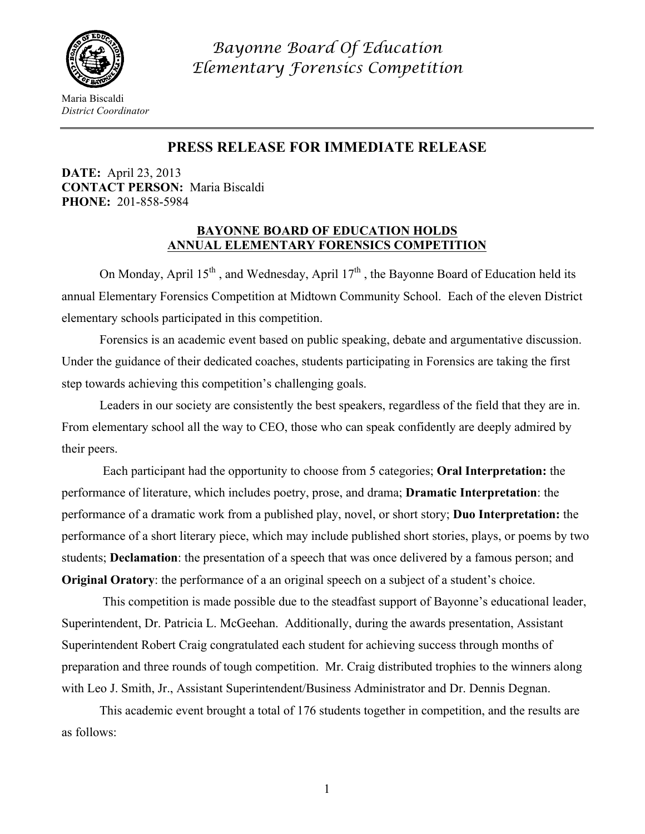

Maria Biscaldi *District Coordinator*

*Bayonne Board Of Education Elementary Forensics Competition*

## **PRESS RELEASE FOR IMMEDIATE RELEASE**

**DATE:** April 23, 2013 **CONTACT PERSON:** Maria Biscaldi **PHONE:** 201-858-5984

#### **BAYONNE BOARD OF EDUCATION HOLDS ANNUAL ELEMENTARY FORENSICS COMPETITION**

On Monday, April  $15<sup>th</sup>$ , and Wednesday, April  $17<sup>th</sup>$ , the Bayonne Board of Education held its annual Elementary Forensics Competition at Midtown Community School. Each of the eleven District elementary schools participated in this competition.

Forensics is an academic event based on public speaking, debate and argumentative discussion. Under the guidance of their dedicated coaches, students participating in Forensics are taking the first step towards achieving this competition's challenging goals.

Leaders in our society are consistently the best speakers, regardless of the field that they are in. From elementary school all the way to CEO, those who can speak confidently are deeply admired by their peers.

 Each participant had the opportunity to choose from 5 categories; **Oral Interpretation:** the performance of literature, which includes poetry, prose, and drama; **Dramatic Interpretation**: the performance of a dramatic work from a published play, novel, or short story; **Duo Interpretation:** the performance of a short literary piece, which may include published short stories, plays, or poems by two students; **Declamation**: the presentation of a speech that was once delivered by a famous person; and **Original Oratory**: the performance of a an original speech on a subject of a student's choice.

 This competition is made possible due to the steadfast support of Bayonne's educational leader, Superintendent, Dr. Patricia L. McGeehan. Additionally, during the awards presentation, Assistant Superintendent Robert Craig congratulated each student for achieving success through months of preparation and three rounds of tough competition. Mr. Craig distributed trophies to the winners along with Leo J. Smith, Jr., Assistant Superintendent/Business Administrator and Dr. Dennis Degnan.

 This academic event brought a total of 176 students together in competition, and the results are as follows:

1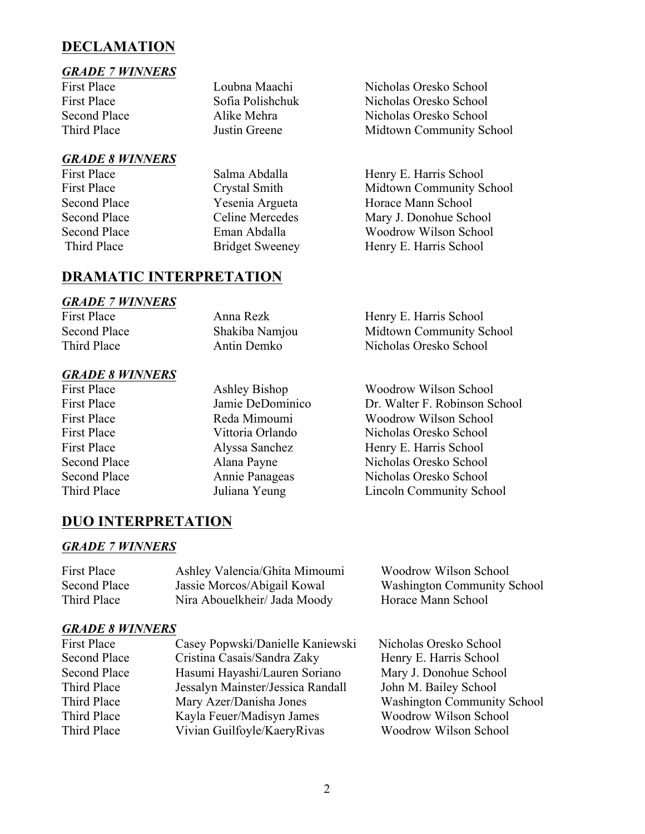## **DECLAMATION**

#### *GRADE 7 WINNERS*

#### *GRADE 8 WINNERS*

Second Place **Second Place** Yesenia Argueta Horace Mann School<br>Second Place Celine Mercedes Mary J Donohue Sch Second Place Celine Mercedes Mary J. Donohue School Second Place Eman Abdalla Woodrow Wilson School Third Place Bridget Sweeney Henry E. Harris School

## First Place **Loubna Maachi** Nicholas Oresko School First Place Sofia Polishchuk Nicholas Oresko School Second Place **Alike Mehra** Nicholas Oresko School Third Place **In Third Place** Justin Greene **Midtown Community School**

First Place Salma Abdalla Henry E. Harris School First Place Crystal Smith Midtown Community School

## **DRAMATIC INTERPRETATION**

## *GRADE 7 WINNERS*

| <b>First Place</b> | Anna Rezk      | Henry E. Harris School   |
|--------------------|----------------|--------------------------|
| Second Place       | Shakiba Namjou | Midtown Community School |
| Third Place        | Antin Demko    | Nicholas Oresko School   |

## *GRADE 8 WINNERS*

First Place Ashley Bishop Woodrow Wilson School First Place Jamie DeDominico Dr. Walter F. Robinson School First Place Reda Mimoumi Woodrow Wilson School First Place Vittoria Orlando Nicholas Oresko School First Place Alyssa Sanchez Henry E. Harris School Second Place Alana Payne Nicholas Oresko School Second Place Annie Panageas Nicholas Oresko School Third Place Juliana Yeung Lincoln Community School

## **DUO INTERPRETATION**

#### *GRADE 7 WINNERS*

| <b>First Place</b> | Ashley Valencia/Ghita Mimoumi | Woodrow Wilson School              |
|--------------------|-------------------------------|------------------------------------|
| Second Place       | Jassie Morcos/Abigail Kowal   | <b>Washington Community School</b> |
| Third Place        | Nira Abouelkheir/ Jada Moody  | Horace Mann School                 |

#### *GRADE 8 WINNERS*

| <b>First Place</b>  | Casey Popwski/Danielle Kaniewski  | Nicholas Oresko School             |
|---------------------|-----------------------------------|------------------------------------|
| Second Place        | Cristina Casais/Sandra Zaky       | Henry E. Harris School             |
| <b>Second Place</b> | Hasumi Hayashi/Lauren Soriano     | Mary J. Donohue School             |
| Third Place         | Jessalyn Mainster/Jessica Randall | John M. Bailey School              |
| Third Place         | Mary Azer/Danisha Jones           | <b>Washington Community School</b> |
| Third Place         | Kayla Feuer/Madisyn James         | Woodrow Wilson School              |
| Third Place         | Vivian Guilfoyle/KaeryRivas       | Woodrow Wilson School              |
|                     |                                   |                                    |